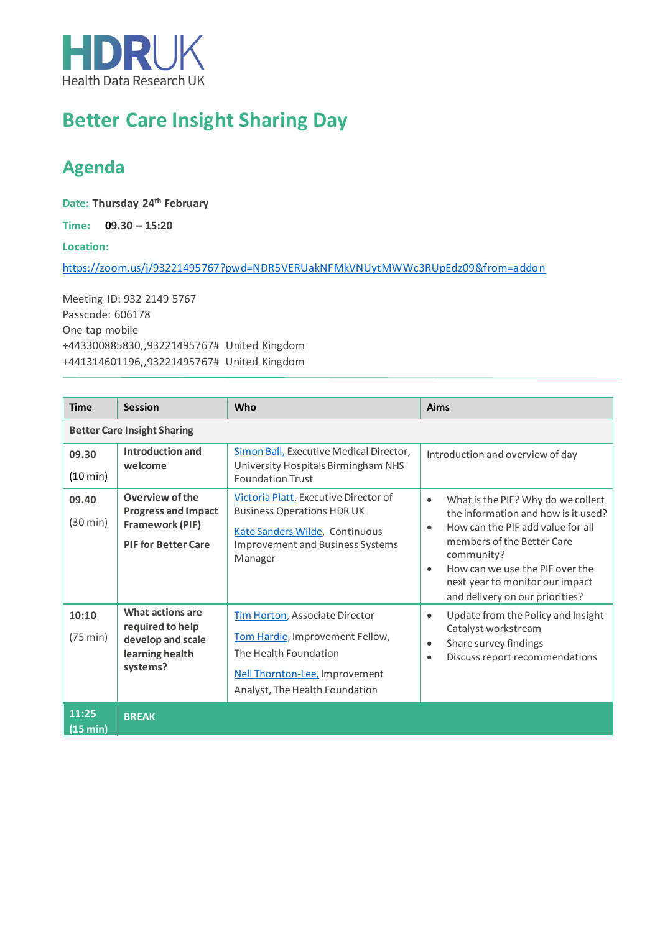

## **Better Care Insight Sharing Day**

## **Agenda**

**Date: Thursday 24th February**

**Time: 09.30 – 15:20**

**Location:**

<https://zoom.us/j/93221495767?pwd=NDR5VERUakNFMkVNUytMWWc3RUpEdz09&from=addon>

Meeting ID: 932 2149 5767 Passcode: 606178 One tap mobile +443300885830,,93221495767# United Kingdom +441314601196,,93221495767# United Kingdom

| <b>Time</b>                        | <b>Session</b>                                                                                 | <b>Who</b>                                                                                                                                                         | <b>Aims</b>                                                                                                                                                                                                                                                                                   |  |  |  |  |
|------------------------------------|------------------------------------------------------------------------------------------------|--------------------------------------------------------------------------------------------------------------------------------------------------------------------|-----------------------------------------------------------------------------------------------------------------------------------------------------------------------------------------------------------------------------------------------------------------------------------------------|--|--|--|--|
| <b>Better Care Insight Sharing</b> |                                                                                                |                                                                                                                                                                    |                                                                                                                                                                                                                                                                                               |  |  |  |  |
| 09.30<br>(10 min)                  | Introduction and<br>welcome                                                                    | Simon Ball, Executive Medical Director,<br>University Hospitals Birmingham NHS<br><b>Foundation Trust</b>                                                          | Introduction and overview of day                                                                                                                                                                                                                                                              |  |  |  |  |
| 09.40<br>(30 min)                  | Overview of the<br><b>Progress and Impact</b><br>Framework (PIF)<br><b>PIF for Better Care</b> | Victoria Platt, Executive Director of<br><b>Business Operations HDR UK</b><br>Kate Sanders Wilde, Continuous<br><b>Improvement and Business Systems</b><br>Manager | What is the PIF? Why do we collect<br>the information and how is it used?<br>How can the PIF add value for all<br>$\bullet$<br>members of the Better Care<br>community?<br>How can we use the PIF over the<br>$\bullet$<br>next year to monitor our impact<br>and delivery on our priorities? |  |  |  |  |
| 10:10<br>$(75 \text{ min})$        | What actions are<br>required to help<br>develop and scale<br>learning health<br>systems?       | Tim Horton, Associate Director<br>Tom Hardie, Improvement Fellow,<br>The Health Foundation<br>Nell Thornton-Lee, Improvement<br>Analyst, The Health Foundation     | Update from the Policy and Insight<br>$\bullet$<br>Catalyst workstream<br>Share survey findings<br>$\bullet$<br>Discuss report recommendations<br>$\bullet$                                                                                                                                   |  |  |  |  |
| 11:25<br>(15 min)                  | <b>BREAK</b>                                                                                   |                                                                                                                                                                    |                                                                                                                                                                                                                                                                                               |  |  |  |  |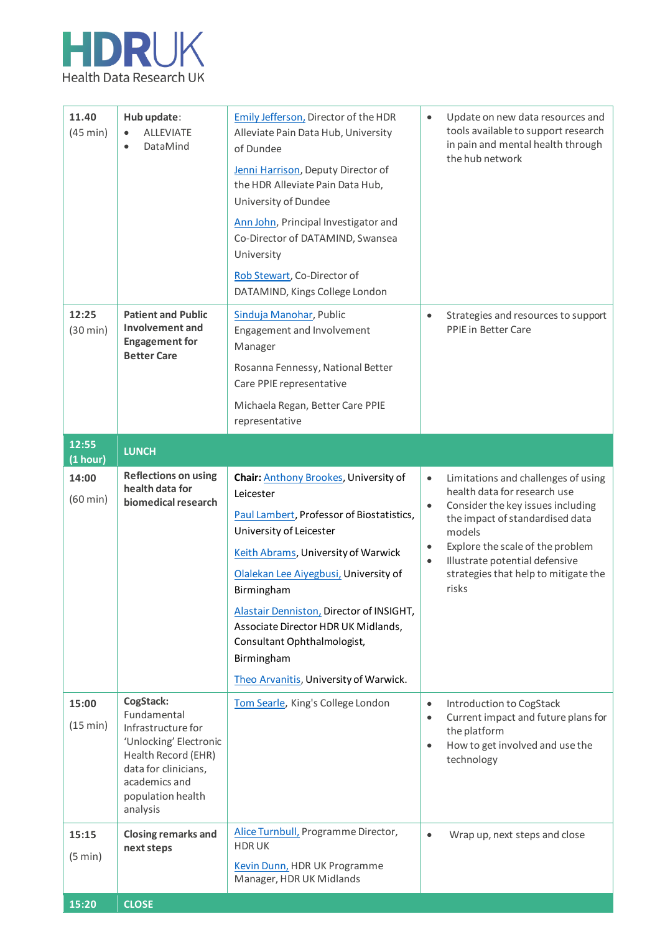

| 11.40<br>(45 min)           | Hub update:<br><b>ALLEVIATE</b><br>$\bullet$<br>DataMind<br>$\bullet$                                                                                                     | <b>Emily Jefferson, Director of the HDR</b><br>Alleviate Pain Data Hub, University<br>of Dundee<br>Jenni Harrison, Deputy Director of<br>the HDR Alleviate Pain Data Hub,<br>University of Dundee<br>Ann John, Principal Investigator and<br>Co-Director of DATAMIND, Swansea<br>University<br>Rob Stewart, Co-Director of<br>DATAMIND, Kings College London                                       | $\bullet$                           | Update on new data resources and<br>tools available to support research<br>in pain and mental health through<br>the hub network                                                                                                                                              |
|-----------------------------|---------------------------------------------------------------------------------------------------------------------------------------------------------------------------|----------------------------------------------------------------------------------------------------------------------------------------------------------------------------------------------------------------------------------------------------------------------------------------------------------------------------------------------------------------------------------------------------|-------------------------------------|------------------------------------------------------------------------------------------------------------------------------------------------------------------------------------------------------------------------------------------------------------------------------|
| 12:25<br>(30 min)           | <b>Patient and Public</b><br>Involvement and<br><b>Engagement for</b><br><b>Better Care</b>                                                                               | Sinduja Manohar, Public<br>Engagement and Involvement<br>Manager<br>Rosanna Fennessy, National Better<br>Care PPIE representative<br>Michaela Regan, Better Care PPIE<br>representative                                                                                                                                                                                                            | $\bullet$                           | Strategies and resources to support<br><b>PPIE</b> in Better Care                                                                                                                                                                                                            |
| 12:55<br>(1 hour)           | <b>LUNCH</b>                                                                                                                                                              |                                                                                                                                                                                                                                                                                                                                                                                                    |                                     |                                                                                                                                                                                                                                                                              |
| 14:00<br>$(60 \text{ min})$ | <b>Reflections on using</b><br>health data for<br>biomedical research                                                                                                     | Chair: Anthony Brookes, University of<br>Leicester<br>Paul Lambert, Professor of Biostatistics,<br>University of Leicester<br>Keith Abrams, University of Warwick<br>Olalekan Lee Aiyegbusi, University of<br>Birmingham<br>Alastair Denniston, Director of INSIGHT,<br>Associate Director HDR UK Midlands,<br>Consultant Ophthalmologist,<br>Birmingham<br>Theo Arvanitis, University of Warwick. | $\bullet$<br>$\bullet$<br>$\bullet$ | Limitations and challenges of using<br>health data for research use<br>Consider the key issues including<br>the impact of standardised data<br>models<br>Explore the scale of the problem<br>Illustrate potential defensive<br>strategies that help to mitigate the<br>risks |
| 15:00<br>(15 min)           | CogStack:<br>Fundamental<br>Infrastructure for<br>'Unlocking' Electronic<br>Health Record (EHR)<br>data for clinicians,<br>academics and<br>population health<br>analysis | Tom Searle, King's College London                                                                                                                                                                                                                                                                                                                                                                  | $\bullet$<br>$\bullet$<br>$\bullet$ | Introduction to CogStack<br>Current impact and future plans for<br>the platform<br>How to get involved and use the<br>technology                                                                                                                                             |
| 15:15<br>(5 min)            | <b>Closing remarks and</b><br>next steps                                                                                                                                  | Alice Turnbull, Programme Director,<br><b>HDRUK</b><br>Kevin Dunn, HDR UK Programme<br>Manager, HDR UK Midlands                                                                                                                                                                                                                                                                                    | $\bullet$                           | Wrap up, next steps and close                                                                                                                                                                                                                                                |
| 15:20                       | <b>CLOSE</b>                                                                                                                                                              |                                                                                                                                                                                                                                                                                                                                                                                                    |                                     |                                                                                                                                                                                                                                                                              |